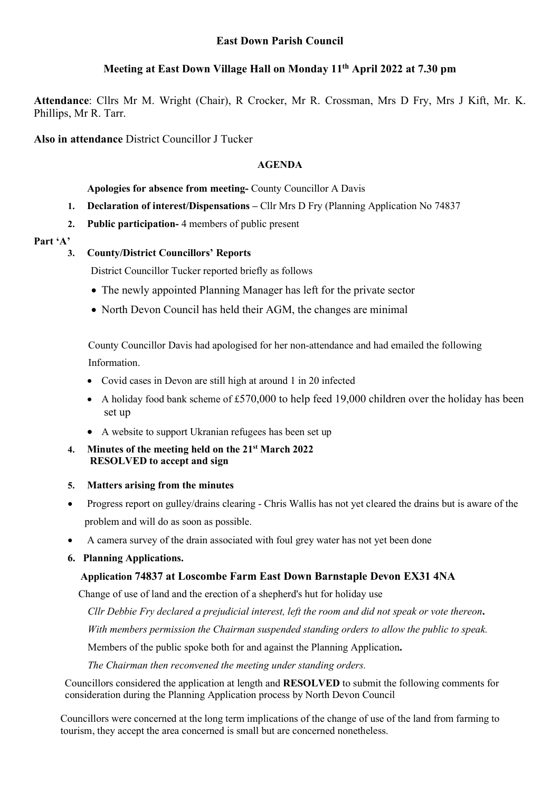# Meeting at East Down Village Hall on Monday 11th April 2022 at 7.30 pm

Attendance: Cllrs Mr M. Wright (Chair), R Crocker, Mr R. Crossman, Mrs D Fry, Mrs J Kift, Mr. K. Phillips, Mr R. Tarr.

Also in attendance District Councillor J Tucker

# AGENDA

### Apologies for absence from meeting- County Councillor A Davis

- 1. Declaration of interest/Dispensations Cllr Mrs D Fry (Planning Application No 74837
- 2. Public participation- 4 members of public present

#### Part 'A'

# 3. County/District Councillors' Reports

District Councillor Tucker reported briefly as follows

- The newly appointed Planning Manager has left for the private sector
- North Devon Council has held their AGM, the changes are minimal

 County Councillor Davis had apologised for her non-attendance and had emailed the following Information.

- Covid cases in Devon are still high at around 1 in 20 infected
- A holiday food bank scheme of £570,000 to help feed 19,000 children over the holiday has been set up
- A website to support Ukranian refugees has been set up
- 4. Minutes of the meeting held on the 21st March 2022 RESOLVED to accept and sign
- 5. Matters arising from the minutes
- Progress report on gulley/drains clearing Chris Wallis has not yet cleared the drains but is aware of the problem and will do as soon as possible.
- A camera survey of the drain associated with foul grey water has not yet been done

## 6. Planning Applications.

## Application 74837 at Loscombe Farm East Down Barnstaple Devon EX31 4NA

Change of use of land and the erection of a shepherd's hut for holiday use

Cllr Debbie Fry declared a prejudicial interest, left the room and did not speak or vote thereon.

With members permission the Chairman suspended standing orders to allow the public to speak.

Members of the public spoke both for and against the Planning Application.

The Chairman then reconvened the meeting under standing orders.

 Councillors considered the application at length and RESOLVED to submit the following comments for consideration during the Planning Application process by North Devon Council

Councillors were concerned at the long term implications of the change of use of the land from farming to tourism, they accept the area concerned is small but are concerned nonetheless.